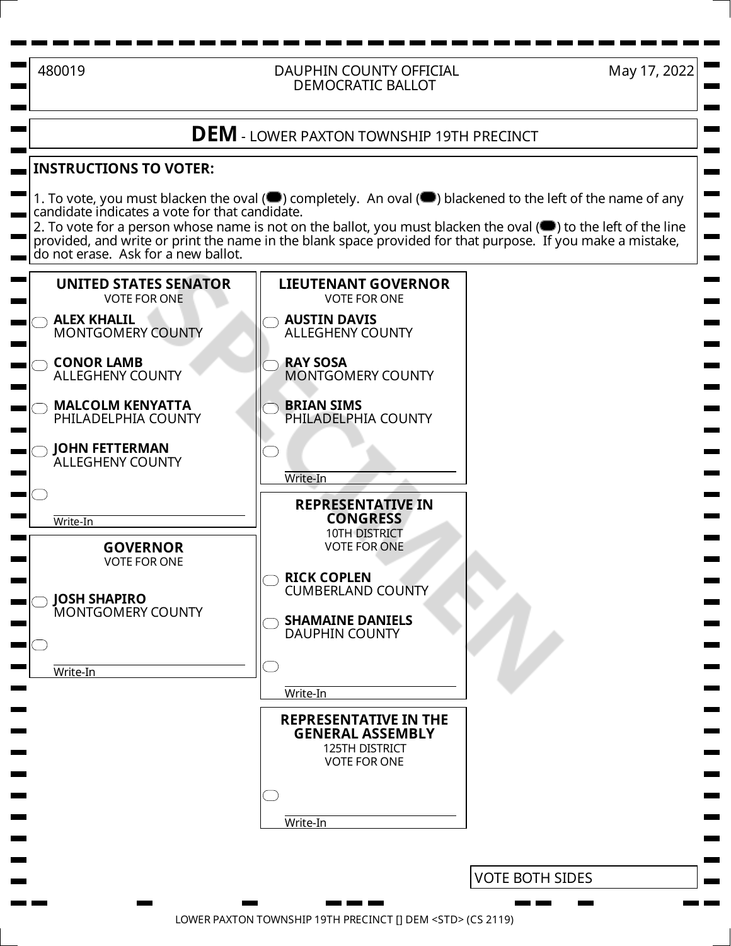## 480019 DAUPHIN COUNTY OFFICIAL DEMOCRATIC BALLOT

May 17, 2022

## **DEM** - LOWER PAXTON TOWNSHIP 19TH PRECINCT

## **INSTRUCTIONS TO VOTER:**

1. To vote, you must blacken the oval (C) completely. An oval (C) blackened to the left of the name of any candidate indicates a vote for that candidate.

2. To vote for a person whose name is not on the ballot, you must blacken the oval  $(\blacksquare)$  to the left of the line provided, and write or print the name in the blank space provided for that purpose. If you make a mistake, do not erase. Ask for a new ballot.



VOTE BOTH SIDES